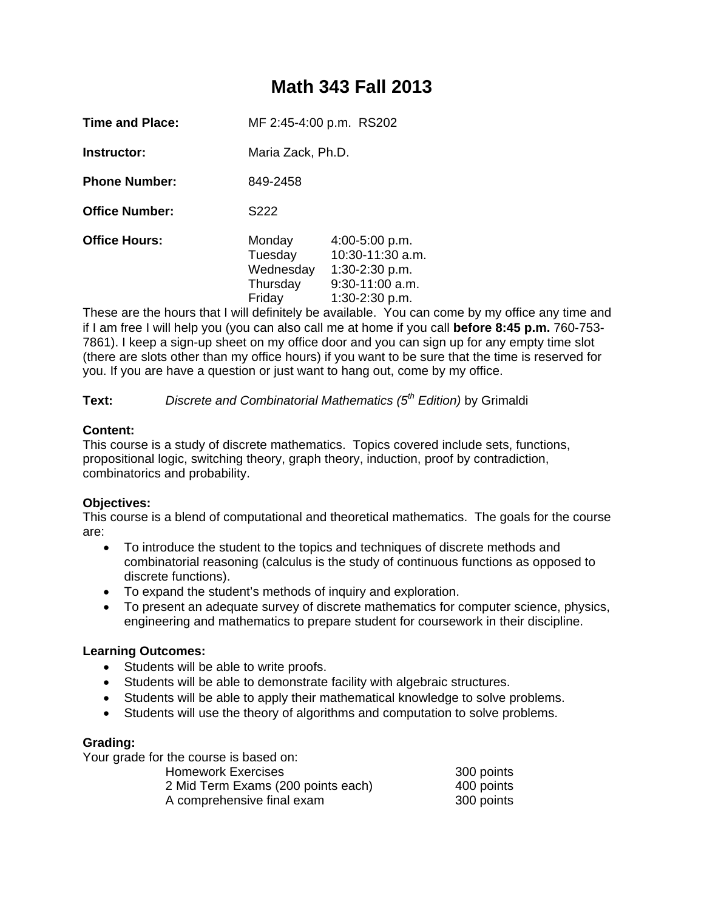# **Math 343 Fall 2013**

**Instructor:** Maria Zack, Ph.D.

**Phone Number:** 849-2458

**Office Number:** S222

**Office Hours:** Monday 4:00-5:00 p.m. Tuesday 10:30-11:30 a.m. Wednesday 1:30-2:30 p.m. Thursday 9:30-11:00 a.m. Friday 1:30-2:30 p.m.

These are the hours that I will definitely be available. You can come by my office any time and if I am free I will help you (you can also call me at home if you call **before 8:45 p.m.** 760-753- 7861). I keep a sign-up sheet on my office door and you can sign up for any empty time slot (there are slots other than my office hours) if you want to be sure that the time is reserved for you. If you are have a question or just want to hang out, come by my office.

**Text:** *Discrete and Combinatorial Mathematics (5th Edition)* by Grimaldi

# **Content:**

This course is a study of discrete mathematics. Topics covered include sets, functions, propositional logic, switching theory, graph theory, induction, proof by contradiction, combinatorics and probability.

# **Objectives:**

This course is a blend of computational and theoretical mathematics. The goals for the course are:

- To introduce the student to the topics and techniques of discrete methods and combinatorial reasoning (calculus is the study of continuous functions as opposed to discrete functions).
- To expand the student's methods of inquiry and exploration.
- To present an adequate survey of discrete mathematics for computer science, physics, engineering and mathematics to prepare student for coursework in their discipline.

# **Learning Outcomes:**

- Students will be able to write proofs.
- Students will be able to demonstrate facility with algebraic structures.
- Students will be able to apply their mathematical knowledge to solve problems.
- Students will use the theory of algorithms and computation to solve problems.

## **Grading:**

| Your grade for the course is based on: |            |
|----------------------------------------|------------|
| <b>Homework Exercises</b>              | 300 points |
| 2 Mid Term Exams (200 points each)     | 400 points |
| A comprehensive final exam             | 300 points |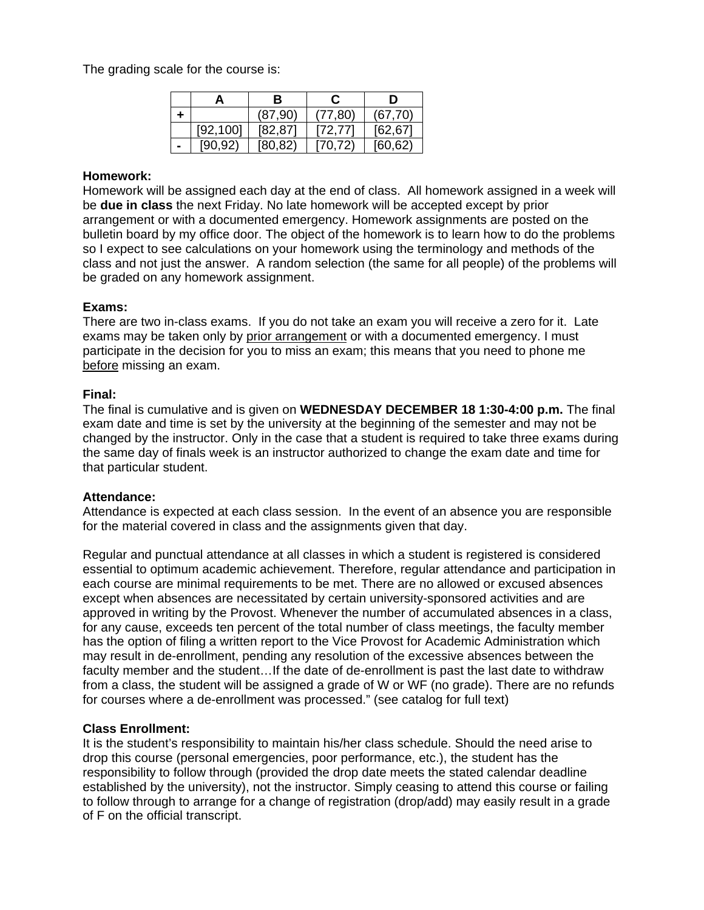The grading scale for the course is:

|           | в        |          | D        |
|-----------|----------|----------|----------|
|           | (87, 90) | (77, 80) | (67, 70) |
| [92, 100] | [82, 87] | [72, 77] | [62, 67] |
| [90.92]   | [80, 82] | [70, 72] | [60, 62] |

#### **Homework:**

Homework will be assigned each day at the end of class. All homework assigned in a week will be **due in class** the next Friday. No late homework will be accepted except by prior arrangement or with a documented emergency. Homework assignments are posted on the bulletin board by my office door. The object of the homework is to learn how to do the problems so I expect to see calculations on your homework using the terminology and methods of the class and not just the answer. A random selection (the same for all people) of the problems will be graded on any homework assignment.

#### **Exams:**

There are two in-class exams. If you do not take an exam you will receive a zero for it. Late exams may be taken only by prior arrangement or with a documented emergency. I must participate in the decision for you to miss an exam; this means that you need to phone me before missing an exam.

#### **Final:**

The final is cumulative and is given on **WEDNESDAY DECEMBER 18 1:30-4:00 p.m.** The final exam date and time is set by the university at the beginning of the semester and may not be changed by the instructor. Only in the case that a student is required to take three exams during the same day of finals week is an instructor authorized to change the exam date and time for that particular student.

#### **Attendance:**

Attendance is expected at each class session. In the event of an absence you are responsible for the material covered in class and the assignments given that day.

Regular and punctual attendance at all classes in which a student is registered is considered essential to optimum academic achievement. Therefore, regular attendance and participation in each course are minimal requirements to be met. There are no allowed or excused absences except when absences are necessitated by certain university-sponsored activities and are approved in writing by the Provost. Whenever the number of accumulated absences in a class, for any cause, exceeds ten percent of the total number of class meetings, the faculty member has the option of filing a written report to the Vice Provost for Academic Administration which may result in de-enrollment, pending any resolution of the excessive absences between the faculty member and the student…If the date of de-enrollment is past the last date to withdraw from a class, the student will be assigned a grade of W or WF (no grade). There are no refunds for courses where a de-enrollment was processed." (see catalog for full text)

## **Class Enrollment:**

It is the student's responsibility to maintain his/her class schedule. Should the need arise to drop this course (personal emergencies, poor performance, etc.), the student has the responsibility to follow through (provided the drop date meets the stated calendar deadline established by the university), not the instructor. Simply ceasing to attend this course or failing to follow through to arrange for a change of registration (drop/add) may easily result in a grade of F on the official transcript.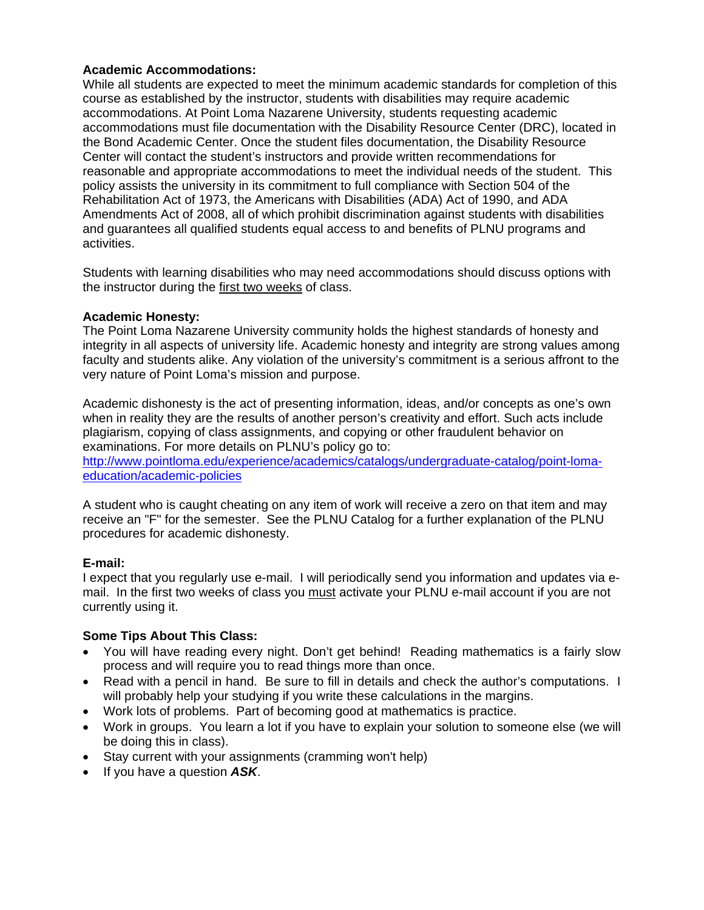## **Academic Accommodations:**

While all students are expected to meet the minimum academic standards for completion of this course as established by the instructor, students with disabilities may require academic accommodations. At Point Loma Nazarene University, students requesting academic accommodations must file documentation with the Disability Resource Center (DRC), located in the Bond Academic Center. Once the student files documentation, the Disability Resource Center will contact the student's instructors and provide written recommendations for reasonable and appropriate accommodations to meet the individual needs of the student. This policy assists the university in its commitment to full compliance with Section 504 of the Rehabilitation Act of 1973, the Americans with Disabilities (ADA) Act of 1990, and ADA Amendments Act of 2008, all of which prohibit discrimination against students with disabilities and guarantees all qualified students equal access to and benefits of PLNU programs and activities.

Students with learning disabilities who may need accommodations should discuss options with the instructor during the first two weeks of class.

#### **Academic Honesty:**

The Point Loma Nazarene University community holds the highest standards of honesty and integrity in all aspects of university life. Academic honesty and integrity are strong values among faculty and students alike. Any violation of the university's commitment is a serious affront to the very nature of Point Loma's mission and purpose.

Academic dishonesty is the act of presenting information, ideas, and/or concepts as one's own when in reality they are the results of another person's creativity and effort. Such acts include plagiarism, copying of class assignments, and copying or other fraudulent behavior on examinations. For more details on PLNU's policy go to: http://www.pointloma.edu/experience/academics/catalogs/undergraduate-catalog/point-lomaeducation/academic-policies

A student who is caught cheating on any item of work will receive a zero on that item and may receive an "F" for the semester. See the PLNU Catalog for a further explanation of the PLNU procedures for academic dishonesty.

## **E-mail:**

I expect that you regularly use e-mail. I will periodically send you information and updates via email. In the first two weeks of class you must activate your PLNU e-mail account if you are not currently using it.

## **Some Tips About This Class:**

- You will have reading every night. Don't get behind! Reading mathematics is a fairly slow process and will require you to read things more than once.
- Read with a pencil in hand. Be sure to fill in details and check the author's computations. I will probably help your studying if you write these calculations in the margins.
- Work lots of problems. Part of becoming good at mathematics is practice.
- Work in groups. You learn a lot if you have to explain your solution to someone else (we will be doing this in class).
- Stay current with your assignments (cramming won't help)
- If you have a question **ASK**.